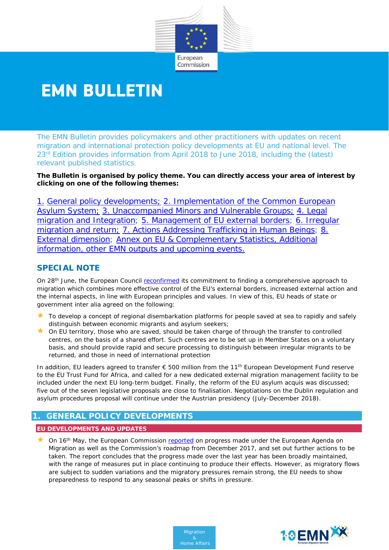

# **EMN BULLETIN**

The EMN Bulletin provides policymakers and other practitioners with updates on recent migration and international protection policy developments at EU and national level. The 23<sup>rd</sup> Edition provides information from April 2018 to June 2018, including the (latest) relevant published statistics.

**The Bulletin is organised by policy theme. You can directly access your area of interest by clicking on one of the following themes:** 

1. [General policy developments;](#page-0-0) [2. Implementation of the Common European](#page-1-0) [Asylum System;](#page-1-0) [3. Unaccompanied Minors and Vulnerable Groups;](#page-2-0) 4. Legal migration and Integration; [5. Management of EU](#page-5-0) external borders; 6. Irregular migration and return; [7. Actions Addressing Trafficking in Human Beings;](#page-9-0) 8. [External dimension;](#page-10-0) [Annex on EU & Complementary Statistics, Additional](#page-10-1)  [information, other EMN outputs and upcoming events.](#page-10-1)

# **SPECIAL NOTE**

On 28<sup>th</sup> June, the European Council [reconfirmed](http://www.consilium.europa.eu/en/meetings/european-council/2018/06/28-29/) its commitment to finding a comprehensive approach to migration which combines more effective control of the EU's external borders, increased external action and the internal aspects, in line with European principles and values. In view of this, EU heads of state or government *inter alia* agreed on the following:

- ★ To develop a concept of regional disembarkation platforms for people saved at sea to rapidly and safely distinguish between economic migrants and asylum seekers;
- $\star$  On EU territory, those who are saved, should be taken charge of through the transfer to controlled centres, on the basis of a shared effort. Such centres are to be set up in Member States on a voluntary basis, and should provide rapid and secure processing to distinguish between irregular migrants to be returned, and those in need of international protection

In addition, EU leaders agreed to transfer € 500 million from the 11th European Development Fund reserve to the EU Trust Fund for Africa, and called for a new dedicated external migration management facility to be included under the next EU long-term budget. Finally, the reform of the EU asylum acquis was discussed; five out of the seven legislative proposals are close to finalisation. Negotiations on the Dublin regulation and asylum procedures proposal will continue under the Austrian presidency (July-December 2018).

# <span id="page-0-0"></span>**1. GENERAL POLICY DEVELOPMENTS**

### **EU DEVELOPMENTS AND UPDATES**

★ On 16<sup>th</sup> May, the European Commission [reported](https://ec.europa.eu/home-affairs/sites/homeaffairs/files/what-we-do/policies/european-agenda-migration/20180516_progress-report-european-agenda-migration_en.pdf) on progress made under the European Agenda on Migration as well as the Commission's roadmap from December 2017, and set out further actions to be taken. The report concludes that the progress made over the last year has been broadly maintained, with the range of measures put in place continuing to produce their effects. However, as migratory flows are subject to sudden variations and the migratory pressures remain strong, the EU needs to show preparedness to respond to any seasonal peaks or shifts in pressure.

> *Migration & Home Affairs*

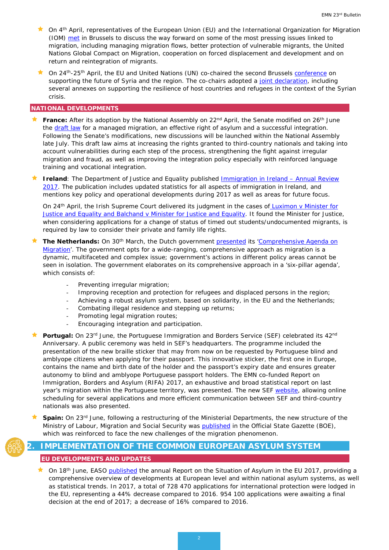- ★ On 4<sup>th</sup> April, representatives of the European Union (EU) and the International Organization for Migration (IOM) [met](https://ec.europa.eu/home-affairs/news/eu-and-iom-strenghten-ties-global-migration_en) in Brussels to discuss the way forward on some of the most pressing issues linked to migration, including managing migration flows, better protection of vulnerable migrants, the United Nations Global Compact on Migration, cooperation on forced displacement and development and on return and reintegration of migrants.
- On 24<sup>th</sup>-25<sup>th</sup> April, the EU and United Nations (UN) co-chaired the second Brussels [conference](http://www.consilium.europa.eu/en/meetings/international-ministerial-meetings/2018/04/24-25/?utm_source=dsms-auto&utm_medium=email&utm_campaign=Supporting+the+future+of+Syria+and+the+region+-+Brussels+conference%2c+24-25%2f04%2f2018) on supporting the future of Syria and the region. The co-chairs adopted a [joint declaration,](http://www.consilium.europa.eu/en/press/press-releases/2018/04/25/brussels-ii-conference-on-supporting-the-future-of-syria-and-the-region-co-chairs-declaration/) including several annexes on supporting the resilience of host countries and refugees in the context of the Syrian crisis.

#### **NATIONAL DEVELOPMENTS**

- **France:** After its adoption by the National Assembly on 22<sup>nd</sup> April, the Senate modified on 26<sup>th</sup> June the [draft law](http://www.assemblee-nationale.fr/dyn/15/dossiers/alt/immigration_maitrisee_droit_asile_effectif) for a managed migration, an effective right of asylum and a successful integration. Following the Senate's modifications, new discussions will be launched within the National Assembly late July. This draft law aims at increasing the rights granted to third-country nationals and taking into account vulnerabilities during each step of the process, strengthening the fight against irregular migration and fraud, as well as improving the integration policy especially with reinforced language training and vocational integration.
- **★ Ireland**: The Department of Justice and Equality published **Immigration in Ireland Annual Review** [2017.](http://www.justice.ie/en/JELR/Immigration_in_Ireland_Annual_Review_2017.pdf/Files/Immigration_in_Ireland_Annual_Review_2017.pdf) The publication includes updated statistics for all aspects of immigration in Ireland, and mentions key policy and operational developments during 2017 as well as areas for future focus.

On 24<sup>th</sup> April, the Irish Supreme Court delivered its judgment in the cases of Luximon v Minister for [Justice and Equality and Balchand v Minister for Justice and Equality.](http://www.courts.ie/Judgments.nsf/0/4DBBAF0FE4937CBE80258146005C1698) It found the Minister for Justice, when considering applications for a change of status of timed out students/undocumented migrants, is required by law to consider their private and family life rights.

- **The Netherlands:** On 30<sup>th</sup> March, the Dutch government [presented](https://www.rijksoverheid.nl/actueel/nieuws/2018/03/30/migratiebeleid-toekomstbestendig) its 'Comprehensive Agenda on [Migration'](https://www.permanentrepresentations.nl/permanent-representations/pr-eu-brussels/documents/parliamentary-documents/2018/juni/19/comprehensive-agenda-on-migration-2018-06-19). The government opts for a wide-ranging, comprehensive approach as migration is a dynamic, multifaceted and complex issue; government's actions in different policy areas cannot be seen in isolation. The government elaborates on its comprehensive approach in a 'six-pillar agenda', which consists of:
	- Preventing irregular migration;
	- Improving reception and protection for refugees and displaced persons in the region;
	- Achieving a robust asylum system, based on solidarity, in the EU and the Netherlands;
	- Combating illegal residence and stepping up returns;
	- Promoting legal migration routes;
	- Encouraging integration and participation.
- Portugal: On 23<sup>rd</sup> June, the Portuguese Immigration and Borders Service (SEF) celebrated its 42<sup>nd</sup> Anniversary. A public ceremony was held in SEF's headquarters. The programme included the presentation of the new braille sticker that may from now on be requested by Portuguese blind and amblyope citizens when applying for their passport. This innovative sticker, the first one in Europe, contains the name and birth date of the holder and the passport's expiry date and ensures greater autonomy to blind and amblyope Portuguese passport holders. The EMN co-funded Report on Immigration, Borders and Asylum (RIFA) 2017, an exhaustive and broad statistical report on last year's migration within the Portuguese territory, was presented. The new SEF [website,](https://www.sef.pt/pt/Pages/Homepage.aspx) allowing online scheduling for several applications and more efficient communication between SEF and third-country nationals was also presented.
- **Spain:** On 23rd June, following a restructuring of the Ministerial Departments, the new structure of the Ministry of Labour, Migration and Social Security was **published** in the Official State Gazette (BOE), which was reinforced to face the new challenges of the migration phenomenon.

### **2. IMPLEMENTATION OF THE COMMON EUROPEAN ASYLUM SYSTEM**

#### <span id="page-1-0"></span>**EU DEVELOPMENTS AND UPDATES**

★ On 18<sup>th</sup> June, EASO [published](http://www.europeanmigrationlaw.eu/documents/EASO-Annual-Report-2017-Final.pdf) the annual Report on the Situation of Asylum in the EU 2017, providing a comprehensive overview of developments at European level and within national asylum systems, as well as statistical trends. In 2017, a total of 728 470 applications for international protection were lodged in the EU, representing a 44% decrease compared to 2016. 954 100 applications were awaiting a final decision at the end of 2017; a decrease of 16% compared to 2016.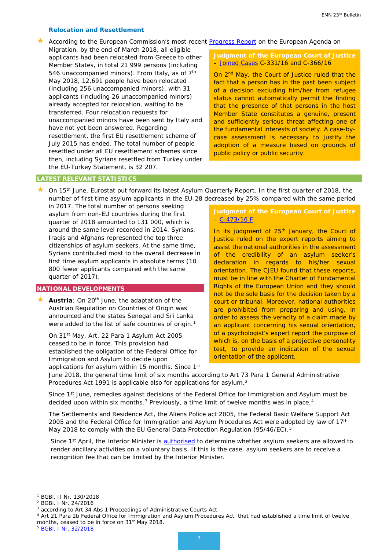#### *Relocation and Resettlement*

According to the European Commission's most recent [Progress Report](https://ec.europa.eu/home-affairs/sites/homeaffairs/files/what-we-do/policies/european-agenda-migration/20180516_progress-report-european-agenda-migration_en.pdf) on the European Agenda on

Migration, by the end of March 2018, all eligible applicants had been relocated from Greece to other Member States, in total 21 999 persons (including 546 unaccompanied minors). From Italy, as of 7<sup>th</sup> May 2018, 12,691 people have been relocated (including 256 unaccompanied minors), with 31 applicants (including 26 unaccompanied minors) already accepted for relocation, waiting to be transferred. Four relocation requests for unaccompanied minors have been sent by Italy and have not yet been answered. Regarding resettlement, the first EU resettlement scheme of July 2015 has ended. The total number of people resettled under all EU resettlement schemes since then, including Syrians resettled from Turkey under the EU-Turkey Statement, is 32 207.

#### **Judgment of the European Court of Justice –** [Joined Cases](http://curia.europa.eu/juris/document/document.jsf;jsessionid=9ea7d2dc30ddab49fe162cc445a6a16cfb1dbf5ef12a.e34KaxiLc3qMb40Rch0SaxyNbNv0?text=&docid=201603&pageIndex=0&doclang=EN&mode=req&dir=&occ=first&part=1&cid=551064&utm_source=ECRE+Newsletters&utm_campaign=abd800371f-EMAIL_CAMPAIGN_2018_05_11&utm_medium=email&utm_term=0_3ec9497afd-abd800371f-422304153) C-331/16 and C-366/16

On 2<sup>nd</sup> May, the Court of Justice ruled that the fact that a person has in the past been subject of a decision excluding him/her from refugee status cannot automatically permit the finding that the presence of that persons in the host Member State constitutes a genuine, present and sufficiently serious threat affecting one of the fundamental interests of society. A case-bycase assessment is necessary to justify the adoption of a measure based on grounds of public policy or public security.

#### **LATEST RELEVANT STATISTICS**

 On 15th June, Eurostat put forward its latest Asylum Quarterly Report. In the first quarter of 2018, the number of first time asylum applicants in the EU-28 decreased by 25% compared with the same period

in 2017. The total number of persons seeking asylum from non-EU countries during the first quarter of 2018 amounted to 131 000, which is around the same level recorded in 2014. Syrians, Iraqis and Afghans represented the top three citizenships of asylum seekers. At the same time, Syrians contributed most to the overall decrease in first time asylum applicants in absolute terms (10 800 fewer applicants compared with the same quarter of 2017).

#### **NATIONAL DEVELOPMENTS**

<span id="page-2-0"></span>Austria: On 20<sup>th</sup> June, the adaptation of the Austrian Regulation on Countries of Origin was announced and the states Senegal and Sri Lanka were added to the list of safe countries of origin.<sup>[1](#page-2-1)</sup>

On 31st May, Art. 22 Para 1 Asylum Act 2005 ceased to be in force. This provision had established the obligation of the Federal Office for Immigration and Asylum to decide upon

applications for asylum within 15 months. Since 1st

#### **Judgment of the European Court of Justice**  $-$  [C-473/16 F](http://curia.europa.eu/juris/document/document.jsf?text=&docid=198766&pageIndex=0&doclang=EN&mode=req&dir=&occ=first&part=1&cid=217091)

In its judgment of 25<sup>th</sup> January, the Court of Justice ruled on the expert reports aiming to assist the national authorities in the assessment of the credibility of an asylum seeker's declaration in regards to his/her sexual orientation. The CJEU found that these reports, must be in line with the Charter of Fundamental Rights of the European Union and they should not be the sole basis for the decision taken by a court or tribunal. Moreover, national authorities are prohibited from preparing and using, in order to assess the veracity of a claim made by an applicant concerning his sexual orientation, of a psychologist's expert report the purpose of which is, on the basis of a projective personality test, to provide an indication of the sexual orientation of the applicant.

June 2018, the general time limit of six months according to Art 73 Para 1 General Administrative Procedures Act 1991 is applicable also for applications for asylum.<sup>[2](#page-2-2)</sup>

Since 1<sup>st</sup> June, remedies against decisions of the Federal Office for Immigration and Asylum must be decided upon within six months. $3$  Previously, a time limit of twelve months was in place. $4$ 

The Settlements and Residence Act, the Aliens Police act 2005, the Federal Basic Welfare Support Act 2005 and the Federal Office for Immigration and Asylum Procedures Act were adopted by law of 17<sup>th</sup> May 2018 to comply with the EU General Data Protection Regulation (95/46/EC).<sup>5</sup>

Since 1<sup>st</sup> April, the Interior Minister is [authorised](https://www.ris.bka.gv.at/eli/bgbl/I/2017/145/20171018) to determine whether asylum seekers are allowed to render ancillary activities on a voluntary basis. If this is the case, asylum seekers are to receive a recognition fee that can be limited by the Interior Minister.

<span id="page-2-1"></span>BGBI. II Nr. 130/2018

<span id="page-2-2"></span><sup>2</sup> BGBl. I Nr. 24/2016

<span id="page-2-3"></span><sup>3</sup> according to Art 34 Abs 1 Proceedings of Administrative Courts Act

<span id="page-2-4"></span><sup>4</sup> Art 21 Para 2b Federal Office for Immigration and Asylum Procedures Act, that had established a time limit of twelve months, ceased to be in force on 31<sup>st</sup> May 2018.

<span id="page-2-5"></span><sup>5</sup> [BGBl. I Nr. 32/2018](https://www.ris.bka.gv.at/eli/bgbl/I/2018/32)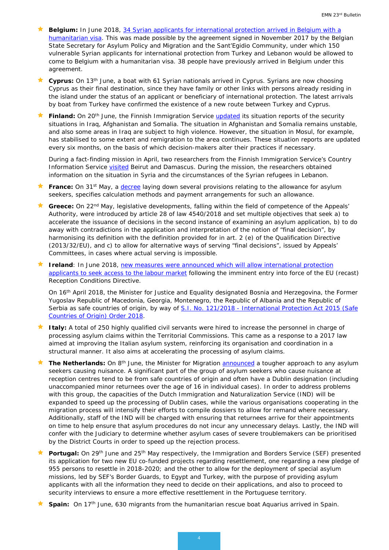- **Belgium:** In June 2018, 34 Syrian applicants for international protection arrived in Belgium with a [humanitarian visa.](https://emnbelgium.be/news/humanitarian-corridor-34-syrians-arrive-belgium) This was made possible by the agreement signed in November 2017 by the Belgian State Secretary for Asylum Policy and Migration and the Sant'Egidio Community, under which 150 vulnerable Syrian applicants for international protection from Turkey and Lebanon would be allowed to come to Belgium with a humanitarian visa. 38 people have previously arrived in Belgium under this agreement.
- **Cyprus:** On 13th June, a boat with 61 Syrian nationals arrived in Cyprus. Syrians are now choosing Cyprus as their final destination, since they have family or other links with persons already residing in the island under the status of an applicant or beneficiary of international protection. The latest arrivals by boat from Turkey have confirmed the existence of a new route between Turkey and Cyprus.
- Finland: On 20<sup>th</sup> June, the Finnish Immigration Service [updated](https://migri.fi/en/artikkeli/-/asset_publisher/irakin-afganistanin-ja-somalian-tilannekatsaukset-paivitetty) its situation reports of the security situations in Iraq, Afghanistan and Somalia. The situation in Afghanistan and Somalia remains unstable, and also some areas in Iraq are subject to high violence. However, the situation in Mosul, for example, has stabilised to some extent and remigration to the area continues. These situation reports are updated every six months, on the basis of which decision-makers alter their practices if necessary.

During a fact-finding mission in April, two researchers from the Finnish Immigration Service's Country Information Service **visited** Beirut and Damascus. During the mission, the researchers obtained information on the situation in Syria and the circumstances of the Syrian refugees in Lebanon.

- **France:** On 31<sup>st</sup> May, a [decree](https://www.legifrance.gouv.fr/eli/decret/2018/5/31/INTV1812839D/jo/texte/fr) laying down several provisions relating to the allowance for asylum seekers, specifies calculation methods and payment arrangements for such an allowance.
- **★ Greece:** On 22<sup>nd</sup> May, legislative developments, falling within the field of competence of the Appeals' Authority, were introduced by article 28 of law 4540/2018 and set multiple objectives that seek a) to accelerate the issuance of decisions in the second instance of examining an asylum application, b) to do away with contradictions in the application and interpretation of the notion of "final decision", by harmonising its definition with the definition provided for in art. 2 (e) of the Qualification Directive (2013/32/EU), and c) to allow for alternative ways of serving "final decisions", issued by Appeals' Committees, in cases where actual serving is impossible.
- **If Ireland**: In June 2018, new measures were announced which will allow international protection [applicants to seek access to the labour market](http://www.justice.ie/en/JELR/Pages/PR18000213) following the imminent entry into force of the EU (recast) Reception Conditions Directive.

On 16th April 2018, the Minister for Justice and Equality designated Bosnia and Herzegovina, the Former Yugoslav Republic of Macedonia, Georgia, Montenegro, the Republic of Albania and the Republic of Serbia as safe countries of origin, by way of S.I. No. 121/2018 - International Protection Act 2015 (Safe [Countries of Origin\) Order 2018.](http://www.irishstatutebook.ie/eli/2018/si/121/made/en/print)

- **Italy:** A total of 250 highly qualified civil servants were hired to increase the personnel in charge of processing asylum claims within the Territorial Commissions. This came as a response to a 2017 law aimed at improving the Italian asylum system, reinforcing its organisation and coordination in a structural manner. It also aims at accelerating the processing of asylum claims.
- **★ The Netherlands:** On 8<sup>th</sup> June, the Minister for Migration [announced](https://www.government.nl/latest/news/2018/06/08/tougher-approach-to-asylum-seekers-causing-disturbances) a tougher approach to any asylum seekers causing nuisance. A significant part of the group of asylum seekers who cause nuisance at reception centres tend to be from safe countries of origin and often have a Dublin designation (including unaccompanied minor returnees over the age of 16 in individual cases). In order to address problems with this group, the capacities of the Dutch Immigration and Naturalization Service (IND) will be expanded to speed up the processing of Dublin cases, while the various organisations cooperating in the migration process will intensify their efforts to compile dossiers to allow for remand where necessary. Additionally, staff of the IND will be charged with ensuring that returnees arrive for their appointments on time to help ensure that asylum procedures do not incur any unnecessary delays. Lastly, the IND will confer with the Judiciary to determine whether asylum cases of severe troublemakers can be prioritised by the District Courts in order to speed up the rejection process.
- Portugal: On 29<sup>th</sup> June and 25<sup>th</sup> May respectively, the Immigration and Borders Service (SEF) presented its application for two new EU co-funded projects regarding resettlement, one regarding a new pledge of 955 persons to resettle in 2018-2020; and the other to allow for the deployment of special asylum missions, led by SEF's Border Guards, to Egypt and Turkey, with the purpose of providing asylum applicants with all the information they need to decide on their applications, and also to proceed to security interviews to ensure a more effective resettlement in the Portuguese territory.
- **Spain:** On 17<sup>th</sup> June, 630 migrants from the humanitarian rescue boat Aquarius arrived in Spain.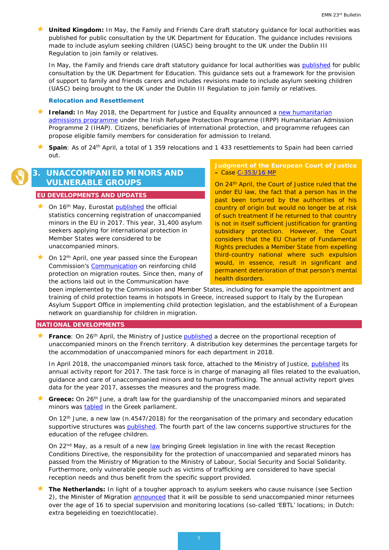**Louited Kingdom:** In May, the Family and Friends Care draft statutory guidance for local authorities was published for public consultation by the UK Department for Education. The guidance includes revisions made to include asylum seeking children (UASC) being brought to the UK under the Dublin III Regulation to join family or relatives.

In May, the Family and friends care draft statutory guidance for local authorities was [published](https://consult.education.gov.uk/children-in-care/revised-family-and-friends-care-statutory-guidance/) for public consultation by the UK Department for Education. This guidance sets out a framework for the provision of support to family and friends carers and includes revisions made to include asylum seeking children (UASC) being brought to the UK under the Dublin III Regulation to join family or relatives.

#### *Relocation and Resettlement*

- **If Ireland:** In May 2018, the Department for Justice and Equality announced a new humanitarian [admissions programme](http://justice.ie/en/JELR/Pages/PR18000149) under the Irish Refugee Protection Programme (IRPP) Humanitarian Admission Programme 2 (IHAP). Citizens, beneficiaries of international protection, and programme refugees can propose eligible family members for consideration for admission to Ireland.
- **★ Spain**: As of 24<sup>th</sup> April, a total of 1 359 relocations and 1 433 resettlements to Spain had been carried out.

### **3. UNACCOMPANIED MINORS AND VULNERABLE GROUPS**

#### **EU DEVELOPMENTS AND UPDATES**

- $\star$  On 16<sup>th</sup> May, Eurostat [published](http://ec.europa.eu/eurostat/documents/2995521/8895109/3-16052018-BP-EN.pdf/ec4cc3d7-c177-4944-964f-d85401e55ad9) the official statistics concerning registration of unaccompanied minors in the EU in 2017. This year, 31,400 asylum seekers applying for international protection in Member States were considered to be unaccompanied minors.
- $\triangle$  On 12<sup>th</sup> April, one year passed since the European Commission's [Communication](https://ec.europa.eu/home-affairs/sites/homeaffairs/files/what-we-do/policies/european-agenda-migration/20170412_communication_on_the_protection_of_children_in_migration_en.pdf) on reinforcing child protection on migration routes. Since then, many of the actions laid out in the Communication have

**Judgment of the European Court of Justice –** Case [C-353/16 MP](http://curia.europa.eu/juris/liste.jsf?language=en&jur=C,T,F&num=c-353/16)

On 24<sup>th</sup> April, the Court of Justice ruled that the under EU law, the fact that a person has in the past been tortured by the authorities of his country of origin but would no longer be at risk of such treatment if he returned to that country is not in itself sufficient justification for granting subsidiary protection. However, the Court considers that the EU Charter of Fundamental Rights precludes a Member State from expelling third-country national where such expulsion would, in essence, result in significant and permanent deterioration of that person's mental health disorders.

been implemented by the Commission and Member States, including for example the appointment and training of child protection teams in hotspots in Greece, increased support to Italy by the European Asylum Support Office in implementing child protection legislation, and the establishment of a European network on guardianship for children in migration.

#### **NATIONAL DEVELOPMENTS**

France: On 26<sup>th</sup> April, the Ministry of Justice [published](https://www.legifrance.gouv.fr/affichTexte.do?cidTexte=JORFTEXT000036888032&dateTexte=&categorieLien=id) a decree on the proportional reception of unaccompanied minors on the French territory. A distribution key determines the percentage targets for the accommodation of unaccompanied minors for each department in 2018.

In April 2018, the unaccompanied minors task force, attached to the Ministry of Justice, [published](http://www.justice.gouv.fr/art_pix/RAA-MMNA-2017.pdf) its annual activity report for 2017. The task force is in charge of managing all files related to the evaluation, guidance and care of unaccompanied minors and to human trafficking. The annual activity report gives data for the year 2017, assesses the measures and the progress made.

Greece: On 26<sup>th</sup> June, a draft law for the guardianship of the unaccompanied minors and separated minors was [tabled](https://www.hellenicparliament.gr/Nomothetiko-Ergo/Anazitisi-Nomothetikou-Ergou?law_id=6fcd1da1-4916-4e9e-83b8-a90b00e43f20) in the Greek parliament.

On 12<sup>th</sup> June, a new law (n.4547/2018) for the reorganisation of the primary and secondary education supportive structures was [published.](http://www.et.gr/idocs-nph/search/pdfViewerForm.html?args=5C7QrtC22wG3UHk-ZeQumndtvSoClrL8sN_CI5tJ5zV5MXD0LzQTLWPU9yLzB8V68knBzLCmTXKaO6fpVZ6Lx3UnKl3nP8NxdnJ5r9cmWyJWelDvWS_18kAEhATUkJb0x1LIdQ163nV9K--td6SIufwsuG5x2FZp4dRmpsuHroxzyOwkWo8OopyrDmjZYcMW) The fourth part of the law concerns supportive structures for the education of the refugee children.

On 22<sup>nd</sup> May, as a result of a new [law](http://www.et.gr/idocs-nph/search/pdfViewerForm.html?args=5C7QrtC22wG3UHk-%20%20%20%20%20%20%20%20%20%20%20%20%20%20%20%20ZeQumndtvSoClrL8r598mVlpWhjtIl9LGdkF53UIxsx942CdyqxSQYNuqAGCF0IfB9HI6qSYtMQEkEHLwnFqmgJSA5WIsluV-nRwO1oKqSe4BlOTSpEWYhszF8P8UqWb_zFijMw2-E3i_pYzqYlEdrYpdXxWYuZCC--urAys0mjSg5bC) bringing Greek legislation in line with the recast Reception Conditions Directive, the responsibility for the protection of unaccompanied and separated minors has passed from the Ministry of Migration to the Ministry of Labour, Social Security and Social Solidarity. Furthermore, only vulnerable people such as victims of trafficking are considered to have special reception needs and thus benefit from the specific support provided.

 **The Netherlands:** In light of a tougher approach to asylum seekers who cause nuisance (see Section 2), the Minister of Migration [announced](https://www.government.nl/latest/news/2018/06/08/tougher-approach-to-asylum-seekers-causing-disturbances) that it will be possible to send unaccompanied minor returnees over the age of 16 to special supervision and monitoring locations (so-called 'EBTL' locations; in Dutch: extra begeleiding en toezichtlocatie).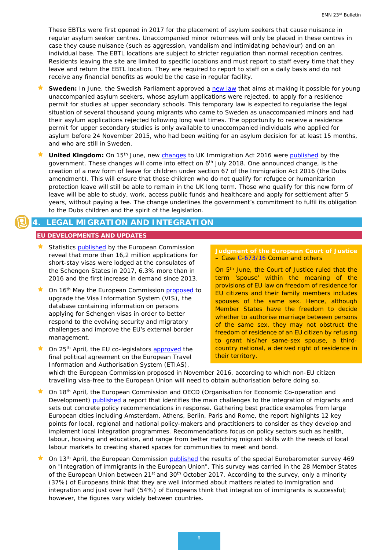These EBTLs were first opened in 2017 for the placement of asylum seekers that cause nuisance in regular asylum seeker centres. Unaccompanied minor returnees will only be placed in these centres in case they cause nuisance (such as aggression, vandalism and intimidating behaviour) and on an individual base. The EBTL locations are subject to stricter regulation than normal reception centres. Residents leaving the site are limited to specific locations and must report to staff every time that they leave and return the EBTL location. They are required to report to staff on a daily basis and do not receive any financial benefits as would be the case in regular facility.

- **Sweden:** In June, the Swedish Parliament approved a [new law](https://www.regeringen.se/rattsliga-dokument/proposition/2018/04/prop.-201718252/) that aims at making it possible for young unaccompanied asylum seekers, whose asylum applications were rejected, to apply for a residence permit for studies at upper secondary schools. This temporary law is expected to regularise the legal situation of several thousand young migrants who came to Sweden as unaccompanied minors and had their asylum applications rejected following long wait times. The opportunity to receive a residence permit for upper secondary studies is only available to unaccompanied individuals who applied for asylum before 24 November 2015, who had been waiting for an asylum decision for at least 15 months, and who are still in Sweden.
- United Kingdom: On 15<sup>th</sup> June, new [changes](https://assets.publishing.service.gov.uk/government/uploads/system/uploads/attachment_data/file/716674/CCS207_CCS0618810832-1_HC1154_Web_Accessible.pdf) to UK Immigration Act 2016 were [published](https://www.gov.uk/government/news/changes-to-the-immigration-rules--2) by the government. These changes will come into effect on  $6<sup>th</sup>$  July 2018. One announced change, is the creation of a new form of leave for children under section 67 of the Immigration Act 2016 (the Dubs amendment). This will ensure that those children who do not qualify for refugee or humanitarian protection leave will still be able to remain in the UK long term. Those who qualify for this new form of leave will be able to study, work, access public funds and healthcare and apply for settlement after 5 years, without paying a fee. The change underlines the government's commitment to fulfil its obligation to the Dubs children and the spirit of the legislation.

### <span id="page-5-0"></span>**4. LEGAL MIGRATION AND INTEGRATION**

#### **EU DEVELOPMENTS AND UPDATES**

- $\star$  Statistics [published](https://ec.europa.eu/home-affairs/what-we-do/policies/borders-and-visas/visa-policy_en%23stats) by the European Commission reveal that more than 16,2 million applications for short-stay visas were lodged at the consulates of the Schengen States in 2017, 6.3% more than in 2016 and the first increase in demand since 2013.
- On 16<sup>th</sup> May the European Commission [proposed](https://ec.europa.eu/home-affairs/sites/homeaffairs/files/what-we-do/policies/european-agenda-security/20180516_regulation-proposal-european-parliament-council_en.pdf) to upgrade the Visa Information System (VIS), the database containing information on persons applying for Schengen visas in order to better respond to the evolving security and migratory challenges and improve the EU's external border management.
- On 25<sup>th</sup> April, the EU co-legislators [approved](http://europa.eu/rapid/press-release_STATEMENT-18-3527_en.htm) the final political agreement on the European Travel Information and Authorisation System (ETIAS),

#### **Judgment of the European Court of Justice –** Case [C-673/16](http://curia.europa.eu/juris/document/document.jsf?text=&docid=202542&pageIndex=0&doclang=fr&mode=lst&dir=&occ=first&part=1&cid=299040) Coman and others

On 5<sup>th</sup> June, the Court of Justice ruled that the term 'spouse' within the meaning of the provisions of EU law on freedom of residence for EU citizens and their family members includes spouses of the same sex. Hence, although Member States have the freedom to decide whether to authorise marriage between persons of the same sex, they may not obstruct the freedom of residence of an EU citizen by refusing to grant his/her same-sex spouse, a thirdcountry national, a derived right of residence in their territory.

which the European Commission proposed in November 2016, according to which non-EU citizen travelling visa-free to the European Union will need to obtain authorisation before doing so.

- On 18th April, the European Commission and OECD (Organisation for Economic Co-operation and Development) [published](http://www.europeanmigrationlaw.eu/documents/OECD-2018-Working%20together%20for%20local%20integration%20of%20migrants%20and%20refugees.pdf) a report that identifies the main challenges to the integration of migrants and sets out concrete policy recommendations in response. Gathering best practice examples from large European cities including Amsterdam, Athens, Berlin, Paris and Rome, the report highlights 12 key points for local, regional and national policy-makers and practitioners to consider as they develop and implement local integration programmes. Recommendations focus on policy sectors such as health, labour, housing and education, and range from better matching migrant skills with the needs of local labour markets to creating shared spaces for communities to meet and bond.
- On 13<sup>th</sup> April, the European Commission [published](http://ec.europa.eu/commfrontoffice/publicopinion/index.cfm/survey/getsurveydetail/instruments/special/surveyky/2169) the results of the special Eurobarometer survey 469 on "Integration of immigrants in the European Union". This survey was carried in the 28 Member States of the European Union between 21<sup>st</sup> and 30<sup>th</sup> October 2017. According to the survey, only a minority (37%) of Europeans think that they are well informed about matters related to immigration and integration and just over half (54%) of Europeans think that integration of immigrants is successful; however, the figures vary widely between countries.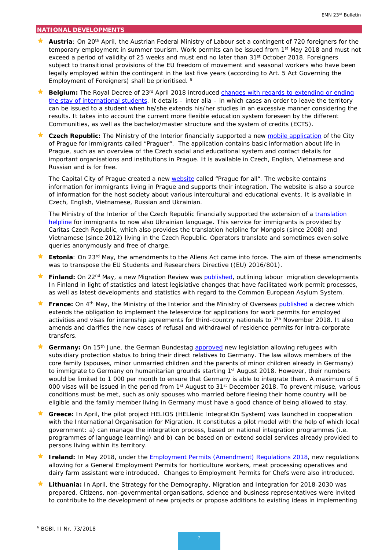#### **NATIONAL DEVELOPMENTS**

- **Austria**: On 20<sup>th</sup> April, the Austrian Federal Ministry of Labour set a contingent of 720 foreigners for the temporary employment in summer tourism. Work permits can be issued from 1st May 2018 and must not exceed a period of validity of 25 weeks and must end no later than 31<sup>st</sup> October 2018. Foreigners subject to transitional provisions of the EU freedom of movement and seasonal workers who have been legally employed within the contingent in the last five years (according to Art. 5 Act Governing the Employment of Foreigners) shall be prioritised. [6](#page-6-0)
- Belgium: The Royal Decree of 23<sup>rd</sup> April 2018 introduced changes with regards to extending or ending [the stay of international students.](https://emnbelgium.be/news/international-students-new-conditions-extending-and-ending-their-stay-belgium) It details – inter alia – in which cases an order to leave the territory can be issued to a student when he/she extends his/her studies in an excessive manner considering the results. It takes into account the current more flexible education system foreseen by the different Communities, as well as the bachelor/master structure and the system of credits (ECTS).
- **Czech Republic:** The Ministry of the Interior financially supported a new [mobile application](http://praguer.icpraha.com/en/) of the City of Prague for immigrants called "Praguer". The application contains basic information about life in Prague, such as an overview of the Czech social and educational system and contact details for important organisations and institutions in Prague. It is available in Czech, English, Vietnamese and Russian and is for free.

The Capital City of Prague created a new [website](http://metropolevsech.eu/en/) called "Prague for all". The website contains information for immigrants living in Prague and supports their integration. The website is also a source of information for the host society about various intercultural and educational events. It is available in Czech, English, Vietnamese, Russian and Ukrainian.

The Ministry of the Interior of the Czech Republic financially supported the extension of a translation [helpline](http://svet.charita.cz/en/foreigners-in-the-czech-republic/) for immigrants to now also Ukrainian language. This service for immigrants is provided by Caritas Czech Republic, which also provides the translation helpline for Mongols (since 2008) and Vietnamese (since 2012) living in the Czech Republic. Operators translate and sometimes even solve queries anonymously and free of charge.

- **Estonia**: On 23<sup>rd</sup> May, the amendments to the Aliens Act came into force. The aim of these amendments was to transpose the EU Students and Researchers Directive ((EU) 2016/801).
- **Finland:** On 22<sup>nd</sup> May, a new Migration Review was **published**, outlining labour migration developments In Finland in light of statistics and latest legislative changes that have facilitated work permit processes, as well as latest developments and statistics with regard to the Common European Asylum System.
- **France:** On 4<sup>th</sup> May, the Ministry of the Interior and the Ministry of Overseas [published](https://www.legifrance.gouv.fr/affichTexte.do?cidTexte=JORFTEXT000036876888&dateTexte=&categorieLien=id) a decree which extends the obligation to implement the teleservice for applications for work permits for employed activities and visas for internship agreements for third-country nationals to 7th November 2018. It also amends and clarifies the new cases of refusal and withdrawal of residence permits for intra-corporate transfers.
- Germany: On 15<sup>th</sup> June, the German Bundestag **approved** new legislation allowing refugees with subsidiary protection status to bring their direct relatives to Germany. The law allows members of the core family (spouses, minor unmarried children and the parents of minor children already in Germany) to immigrate to Germany on humanitarian grounds starting 1st August 2018. However, their numbers would be limited to 1 000 per month to ensure that Germany is able to integrate them. A maximum of 5 000 visas will be issued in the period from 1<sup>st</sup> August to 31<sup>st</sup> December 2018. To prevent misuse, various conditions must be met, such as only spouses who married before fleeing their home country will be eligible and the family member living in Germany must have a good chance of being allowed to stay.
- **Greece:** In April, the pilot project HELIOS (HELlenic IntegratiOn System) was launched in cooperation with the International Organisation for Migration. It constitutes a pilot model with the help of which local government: a) can manage the integration process, based on national integration programmes (i.e. programmes of language learning) and b) can be based on or extend social services already provided to persons living within its territory.
- **If Ireland:** In May 2018, under the **Employment Permits (Amendment) Regulations 2018**, new regulations allowing for a General Employment Permits for horticulture workers, meat processing operatives and dairy farm assistant were introduced. Changes to Employment Permits for Chefs were also introduced.
- ★ Lithuania: In April, the Strategy for the Demography, Migration and Integration for 2018-2030 was prepared. Citizens, non-governmental organisations, science and business representatives were invited to contribute to the development of new projects or propose additions to existing ideas in implementing

-

<span id="page-6-0"></span><sup>6</sup> BGBl. II Nr. 73/2018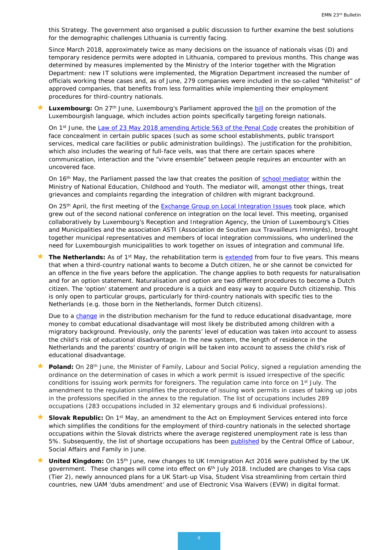this Strategy. The government also organised a public discussion to further examine the best solutions for the demographic challenges Lithuania is currently facing.

Since March 2018, approximately twice as many decisions on the issuance of nationals visas (D) and temporary residence permits were adopted in Lithuania, compared to previous months. This change was determined by measures implemented by the Ministry of the Interior together with the Migration Department: new IT solutions were implemented, the Migration Department increased the number of officials working these cases and, as of June, 279 companies were included in the so-called "Whitelist" of approved companies, that benefits from less formalities while implementing their employment procedures for third-country nationals.

 **Luxembourg:** On 27th June, Luxembourg's Parliament approved the [bill](https://chd.lu/wps/PA_RoleDesAffaires/FTSByteServingServletImpl?path=85290B4956309DADF916151E4146281C47EC139B0EDC44B84FE54AFB3549BE4AC0860A0E045DD463AD8E31F97EC1D6FC$C6174425FEAEC10D4769456545DF7731) on the promotion of the Luxembourgish language, which includes action points specifically targeting foreign nationals.

On 1<sup>st</sup> June, the [Law of 23 May 2018 amending Article 563 of the Penal Code](http://legilux.public.lu/eli/etat/leg/loi/2018/05/23/a413/jo) creates the prohibition of face concealment in certain public spaces (such as some school establishments, public transport services, medical care facilities or public administration buildings). The justification for the prohibition, which also includes the wearing of full-face veils, was that there are certain spaces where communication, interaction and the "*vivre ensemble"* between people requires an encounter with an uncovered face.

On 16<sup>th</sup> May, the Parliament passed the law that creates the position of [school mediator](http://www.men.public.lu/fr/actualites/articles/communiques-conference-presse/2018/05/16-mediateur/index.html) within the Ministry of National Education, Childhood and Youth. The mediator will, amongst other things, treat grievances and complaints regarding the integration of children with migrant background.

On 25<sup>th</sup> April, the first meeting of the [Exchange Group on Local Integration Issues](http://www.olai.public.lu/en/actualites/2018/05/gresil/index.html) took place, which grew out of the second national conference on integration on the local level. This meeting, organised collaboratively by Luxembourg's Reception and Integration Agency, the Union of Luxembourg's Cities and Municipalities and the association ASTI (*Association de Soutien aux Travailleurs Immigrés*), brought together municipal representatives and members of local integration commissions, who underlined the need for Luxembourgish municipalities to work together on issues of integration and communal life.

The Netherlands: As of 1<sup>st</sup> May, the rehabilitation term is **extended** from four to five years. This means that when a third-country national wants to become a Dutch citizen, he or she cannot be convicted for an offence in the five years before the application. The change applies to both requests for naturalisation and for an option statement. Naturalisation and option are two different procedures to become a Dutch citizen. The 'option' statement and procedure is a quick and easy way to acquire Dutch citizenship. This is only open to particular groups, particularly for third-country nationals with specific ties to the Netherlands (e.g. those born in the Netherlands, former Dutch citizens).

Due to a [change](https://www.rijksoverheid.nl/actueel/nieuws/2018/04/26/kabinet-gaat-geld-voor-onderwijsachterstanden-beter-verdelen) in the distribution mechanism for the fund to reduce educational disadvantage, more money to combat educational disadvantage will most likely be distributed among children with a migratory background. Previously, only the parents' level of education was taken into account to assess the child's risk of educational disadvantage. In the new system, the length of residence in the Netherlands and the parents' country of origin will be taken into account to assess the child's risk of educational disadvantage.

- Poland: On 28<sup>th</sup> June, the Minister of Family, Labour and Social Policy, signed a regulation amending the ordinance on the determination of cases in which a work permit is issued irrespective of the specific conditions for issuing work permits for foreigners. The regulation came into force on 1<sup>st</sup> July. The amendment to the regulation simplifies the procedure of issuing work permits in cases of taking up jobs in the professions specified in the annex to the regulation. The list of occupations includes 289 occupations (283 occupations included in 32 elementary groups and 6 individual professions).
- **Slovak Republic:** On 1<sup>st</sup> May, an amendment to the Act on Employment Services entered into force which simplifies the conditions for the employment of third-country nationals in the selected shortage occupations within the Slovak districts where the average registered unemployment rate is less than 5%. Subsequently, the list of shortage occupations has been [published](http://www.upsvr.gov.sk/sluzby-zamestnanosti/zamestnavanie-cudzincov/zoznam-zamestnani-s-nedostatkom-pracovnej-sily.html?page_id=806803) by the Central Office of Labour, Social Affairs and Family in June.
- **United Kingdom:** On 15<sup>th</sup> June, new changes to UK Immigration Act 2016 were published by the UK government. These changes will come into effect on 6<sup>th</sup> July 2018. Included are changes to Visa caps (Tier 2), newly announced plans for a UK Start-up Visa, Student Visa streamlining from certain third countries, new UAM 'dubs amendment' and use of Electronic Visa Waivers (EVW) in digital format.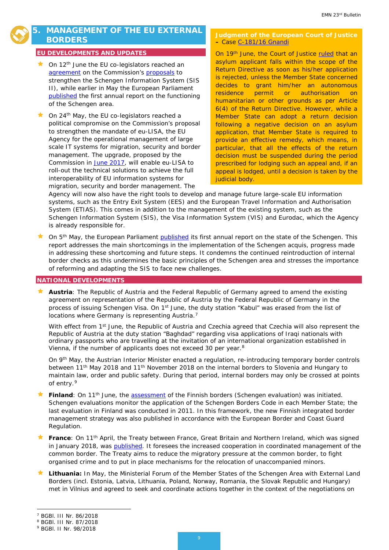# **5. MANAGEMENT OF THE EU EXTERNAL BORDERS**

#### **EU DEVELOPMENTS AND UPDATES**

- On 12<sup>th</sup> June the EU co-legislators reached an [agreement](http://europa.eu/rapid/press-release_STATEMENT-18-4133_en.htm) on the Commission's [proposals](http://europa.eu/rapid/press-release_IP-16-4402_en.htm) to strengthen the Schengen Information System (SIS II), while earlier in May the European Parliament [published](http://www.europeanmigrationlaw.eu/documents/EP-Annual%20report%20on%20the%20functioning%20of%20the%20Schengen%20area.pdf) the first annual report on the functioning of the Schengen area.
- On 24th May, the EU co-legislators reached a political compromise on the Commission's proposal to strengthen the mandate of eu-LISA, the EU Agency for the operational management of large scale IT systems for migration, security and border management. The upgrade, proposed by the Commission in [June 2017,](http://europa.eu/rapid/press-release_IP-17-1788_en.htm) will enable eu-LISA to roll-out the technical solutions to achieve the full interoperability of EU information systems for migration, security and border management. The

#### **Judgment of the European Court of Justice –** Case [C-181/16 Gnandi](http://curia.europa.eu/juris/document/document.jsf?text=&docid=203108&pageIndex=0&doclang=FR&mode=req&dir=&occ=first&part=1&cid=348952&utm_source=ECRE+Newsletters&utm_campaign=f5d6579ba8-EMAIL_CAMPAIGN_2018_06_20_05_03&utm_medium=email&utm_term=0_3ec9497afd-f5d6579ba8-422304153)

On 19<sup>th</sup> June, the Court of Justice [ruled](https://ecre.us1.list-manage.com/track/click?u=8e3ebd297b1510becc6d6d690&id=81f5e7d5b7&e=684d4d3248) that an asylum applicant falls within the scope of the Return Directive as soon as his/her application is rejected, unless the Member State concerned decides to grant him/her an autonomous residence permit or authorisation on humanitarian or other grounds as per Article 6(4) of the Return Directive. However, while a Member State can adopt a return decision following a negative decision on an asylum application, that Member State is required to provide an effective remedy, which means, in particular, that all the effects of the return decision must be suspended during the period prescribed for lodging such an appeal and, if an appeal is lodged, until a decision is taken by the judicial body.

Agency will now also have the right tools to develop and manage future large-scale EU information systems, such as the Entry Exit System (EES) and the European Travel Information and Authorisation System (ETIAS). This comes in addition to the management of the existing system, such as the Schengen Information System (SIS), the Visa Information System (VIS) and Eurodac, which the Agency is already responsible for.

On 5<sup>th</sup> May, the European Parliament [published](http://www.europarl.europa.eu/sides/getDoc.do?pubRef=-//EP//TEXT+REPORT+A8-2018-0160+0+DOC+XML+V0//EN%23title2) its first annual report on the state of the Schengen. This report addresses the main shortcomings in the implementation of the Schengen acquis, progress made in addressing these shortcoming and future steps. It condemns the continued reintroduction of internal border checks as this undermines the basic principles of the Schengen area and stresses the importance of reforming and adapting the SIS to face new challenges.

#### **NATIONAL DEVELOPMENTS**

 **Austria**: The Republic of Austria and the Federal Republic of Germany agreed to amend the existing agreement on representation of the Republic of Austria by the Federal Republic of Germany in the process of issuing Schengen Visa. On 1<sup>st</sup> June, the duty station "Kabul" was erased from the list of locations where Germany is representing Austria.<sup>[7](#page-8-0)</sup>

With effect from 1<sup>st</sup> June, the Republic of Austria and Czechia agreed that Czechia will also represent the Republic of Austria at the duty station "Baghdad" regarding visa applications of Iraqi nationals with ordinary passports who are travelling at the invitation of an international organization established in Vienna, if the number of applicants does not exceed 30 per year[.8](#page-8-1)

On 9<sup>th</sup> May, the Austrian Interior Minister enacted a regulation, re-introducing temporary border controls between 11<sup>th</sup> May 2018 and 11<sup>th</sup> November 2018 on the internal borders to Slovenia and Hungary to maintain law, order and public safety. During that period, internal borders may only be crossed at points of entry.[9](#page-8-2)

- Finland: On 11<sup>th</sup> June, the [assessment](http://www.raja.fi/facts/news_from_the_border_guard/1/0/the_european_union_carries_out_a_schengen_evaluation_of_finnish_external_border_control_75721) of the Finnish borders (Schengen evaluation) was initiated. Schengen evaluations monitor the application of the Schengen Borders Code in each Member State; the last evaluation in Finland was conducted in 2011. In this framework, the new Finnish integrated border management strategy was also published in accordance with the European Border and Coast Guard Regulation.
- **France**: On 11th April, the Treaty between France, Great Britain and Northern Ireland, which was signed in January 2018, was [published.](https://www.legifrance.gouv.fr/affichTexte.do?cidTexte=JORFTEXT000036794301&dateTexte=&categorieLien=id) It foresees the increased cooperation in coordinated management of the common border. The Treaty aims to reduce the migratory pressure at the common border, to fight organised crime and to put in place mechanisms for the relocation of unaccompanied minors.
- **Lithuania:** In May, the Ministerial Forum of the Member States of the Schengen Area with External Land Borders (incl. Estonia, Latvia, Lithuania, Poland, Norway, Romania, the Slovak Republic and Hungary) met in Vilnius and agreed to seek and coordinate actions together in the context of the negotiations on

<sup>7</sup> BGBl. III Nr. 86/2018 -

<span id="page-8-2"></span><span id="page-8-1"></span><span id="page-8-0"></span><sup>8</sup> BGBl. III Nr. 87/2018

<sup>9</sup> BGBl. II Nr. 98/2018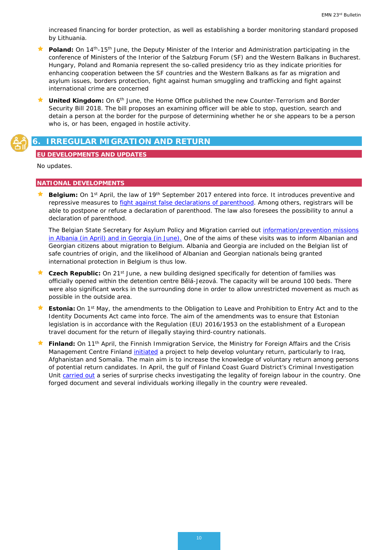increased financing for border protection, as well as establishing a border monitoring standard proposed by Lithuania.

- **Poland:** On 14<sup>th</sup>-15<sup>th</sup> June, the Deputy Minister of the Interior and Administration participating in the conference of Ministers of the Interior of the Salzburg Forum (SF) and the Western Balkans in Bucharest. Hungary, Poland and Romania represent the so-called presidency trio as they indicate priorities for enhancing cooperation between the SF countries and the Western Balkans as far as migration and asylum issues, borders protection, fight against human smuggling and trafficking and fight against international crime are concerned
- **United Kingdom:** On 6<sup>th</sup> June, the Home Office published the new Counter-Terrorism and Border Security Bill 2018. The bill proposes an examining officer will be able to stop, question, search and detain a person at the border for the purpose of determining whether he or she appears to be a person who is, or has been, engaged in hostile activity.

## <span id="page-9-0"></span>**6. IRREGULAR MIGRATION AND RETURN**

#### **EU DEVELOPMENTS AND UPDATES**

No updates.

#### **NATIONAL DEVELOPMENTS**

**Belgium:** On 1<sup>st</sup> April, the law of 19<sup>th</sup> September 2017 entered into force. It introduces preventive and repressive measures to [fight against false declarations of parenthood.](https://emnbelgium.be/news/new-law-fight-against-false-declarations-parenthood) Among others, registrars will be able to postpone or refuse a declaration of parenthood. The law also foresees the possibility to annul a declaration of parenthood.

The Belgian State Secretary for Asylum Policy and Migration carried out *information/prevention missions* [in Albania \(in April\) and in Georgia \(in June\).](https://emnbelgium.be/news/state-secretary-asylum-policy-and-migation-visits-albania-and-georgia) One of the aims of these visits was to inform Albanian and Georgian citizens about migration to Belgium. Albania and Georgia are included on the Belgian list of safe countries of origin, and the likelihood of Albanian and Georgian nationals being granted international protection in Belgium is thus low.

- **Czech Republic:** On 21<sup>st</sup> June, a new building designed specifically for detention of families was officially opened within the detention centre Bělá-Jezová. The capacity will be around 100 beds. There were also significant works in the surrounding done in order to allow unrestricted movement as much as possible in the outside area.
- **Estonia:** On 1<sup>st</sup> May, the amendments to the Obligation to Leave and Prohibition to Entry Act and to the Identity Documents Act came into force. The aim of the amendments was to ensure that Estonian legislation is in accordance with the Regulation (EU) 2016/1953 on the establishment of a European travel document for the return of illegally staying third-country nationals.
- Finland: On 11<sup>th</sup> April, the Finnish Immigration Service, the Ministry for Foreign Affairs and the Crisis Management Centre Finland [initiated](https://migri.fi/en/artikkeli/-/asset_publisher/vapaaehtoinen-paluu-tukee-turvapaikanhakijan-tulevaisuutta-kotimaassa) a project to help develop voluntary return, particularly to Iraq, Afghanistan and Somalia. The main aim is to increase the knowledge of voluntary return among persons of potential return candidates. In April, the gulf of Finland Coast Guard District's Criminal Investigation Unit [carried out](http://www.raja.fi/facts/news_from_the_border_guard/1/0/surprise_checks_by_finnish_border_guard_reveal_one_forged_document_and_several_individuals_working_illegally_in_the_country_75524) a series of surprise checks investigating the legality of foreign labour in the country. One forged document and several individuals working illegally in the country were revealed.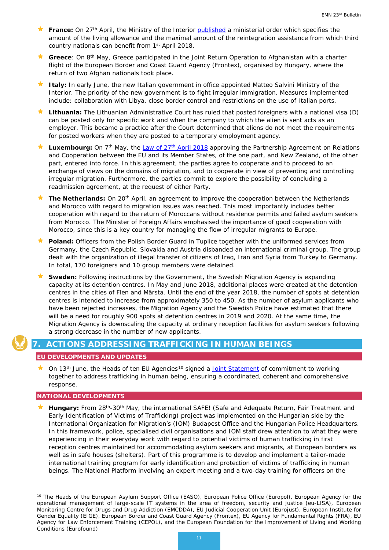- **France:** On 27<sup>th</sup> April, the Ministry of the Interior [published](https://www.legifrance.gouv.fr/affichTexte.do?cidTexte=JORFTEXT000036858900) a ministerial order which specifies the amount of the living allowance and the maximal amount of the reintegration assistance from which third country nationals can benefit from 1<sup>st</sup> April 2018.
- Greece: On 8<sup>th</sup> May, Greece participated in the Joint Return Operation to Afghanistan with a charter flight of the European Border and Coast Guard Agency (Frontex), organised by Hungary, where the return of two Afghan nationals took place.
- **Italy:** In early June, the new Italian government in office appointed Matteo Salvini Ministry of the Interior. The priority of the new government is to fight irregular immigration. Measures implemented include: collaboration with Libya, close border control and restrictions on the use of Italian ports.
- **Lithuania:** The Lithuanian Administrative Court has ruled that posted foreigners with a national visa (D) can be posted only for specific work and when the company to which the alien is sent acts as an employer. This became a practice after the Court determined that aliens do not meet the requirements for posted workers when they are posted to a temporary employment agency.
- Luxembourg: On 7<sup>th</sup> May, the Law of 27<sup>th</sup> April 2018 approving the Partnership Agreement on Relations and Cooperation between the EU and its Member States, of the one part, and New Zealand, of the other part, entered into force. In this agreement, the parties agree to cooperate and to proceed to an exchange of views on the domains of migration, and to cooperate in view of preventing and controlling irregular migration. Furthermore, the parties commit to explore the possibility of concluding a readmission agreement, at the request of either Party.
- **The Netherlands:** On 20th April, an agreement to improve the cooperation between the Netherlands and Morocco with regard to migration issues was reached. This most importantly includes better cooperation with regard to the return of Moroccans without residence permits and failed asylum seekers from Morocco. The Minister of Foreign Affairs emphasised the importance of good cooperation with Morocco, since this is a key country for managing the flow of irregular migrants to Europe.
- **Poland:** Officers from the Polish Border Guard in Tuplice together with the uniformed services from Germany, the Czech Republic, Slovakia and Austria disbanded an international criminal group. The group dealt with the organization of illegal transfer of citizens of Iraq, Iran and Syria from Turkey to Germany. In total, 170 foreigners and 10 group members were detained.
- **Sweden:** Following instructions by the Government, the Swedish Migration Agency is expanding capacity at its detention centres. In May and June 2018, additional places were created at the detention centres in the cities of Flen and Märsta. Until the end of the year 2018, the number of spots at detention centres is intended to increase from approximately 350 to 450. As the number of asylum applicants who have been rejected increases, the Migration Agency and the Swedish Police have estimated that there will be a need for roughly 900 spots at detention centres in 2019 and 2020. At the same time, the Migration Agency is downscaling the capacity at ordinary reception facilities for asylum seekers following a strong decrease in the number of new applicants.

### <span id="page-10-0"></span>**7. ACTIONS ADDRESSING TRAFFICKING IN HUMAN BEINGS**

#### **EU DEVELOPMENTS AND UPDATES**

<span id="page-10-1"></span>On 13<sup>th</sup> June, the Heads of ten EU Agencies<sup>[10](#page-10-2)</sup> signed a [Joint Statement](https://ec.europa.eu/anti-trafficking/sites/antitrafficking/files/eu_agencies_joint_statement_of_commitment_to_working_together_to_address_thb_.pdf) of commitment to working together to address trafficking in human being, ensuring a coordinated, coherent and comprehensive response.

#### **NATIONAL DEVELOPMENTS**

<u>.</u>

 **Hungary:** From 28th-30th May, the international SAFE! (Safe and Adequate Return, Fair Treatment and Early Identification of Victims of Trafficking) project was implemented on the Hungarian side by the International Organization for Migration's (IOM) Budapest Office and the Hungarian Police Headquarters. In this framework, police, specialised civil organisations and IOM staff drew attention to what they were experiencing in their everyday work with regard to potential victims of human trafficking in first reception centres maintained for accommodating asylum seekers and migrants, at European borders as well as in safe houses (shelters). Part of this programme is to develop and implement a tailor-made international training program for early identification and protection of victims of trafficking in human beings. The National Platform involving an expert meeting and a two-day training for officers on the

<span id="page-10-2"></span><sup>&</sup>lt;sup>10</sup> The Heads of the European Asylum Support Office (EASO), European Police Office (Europol), European Agency for the operational management of large-scale IT systems in the area of freedom, security and justice (eu-LISA), European Monitoring Centre for Drugs and Drug Addiction (EMCDDA), EU Judicial Cooperation Unit (Eurojust), European Institute for Gender Equality (EIGE), European Border and Coast Guard Agency (Frontex), EU Agency for Fundamental Rights (FRA), EU Agency for Law Enforcement Training (CEPOL), and the European Foundation for the Improvement of Living and Working Conditions (Eurofound)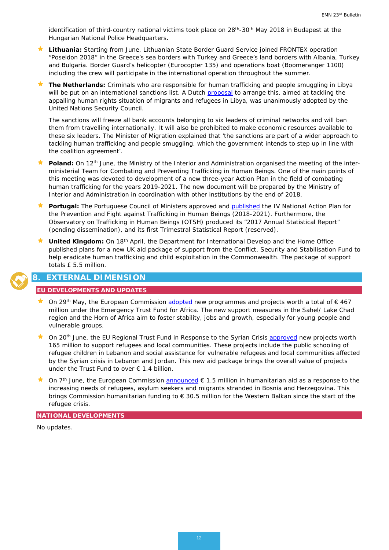identification of third-country national victims took place on 28<sup>th</sup>-30<sup>th</sup> May 2018 in Budapest at the Hungarian National Police Headquarters.

- **Lithuania:** Starting from June, Lithuanian State Border Guard Service joined FRONTEX operation "Poseidon 2018" in the Greece's sea borders with Turkey and Greece's land borders with Albania, Turkey and Bulgaria. Border Guard's helicopter (Eurocopter 135) and operations boat (Boomeranger 1100) including the crew will participate in the international operation throughout the summer.
- **The Netherlands:** Criminals who are responsible for human trafficking and people smuggling in Libya will be put on an international sanctions list. A Dutch [proposal](https://www.government.nl/latest/news/2018/06/07/dutch-initiative-un-sanctions-against-human-traffickers-in-libya) to arrange this, aimed at tackling the appalling human rights situation of migrants and refugees in Libya, was unanimously adopted by the United Nations Security Council.

The sanctions will freeze all bank accounts belonging to six leaders of criminal networks and will ban them from travelling internationally. It will also be prohibited to make economic resources available to these six leaders. The Minister of Migration explained that 'the sanctions are part of a wider approach to tackling human trafficking and people smuggling, which the government intends to step up in line with the coalition agreement'.

- Poland: On 12<sup>th</sup> June, the Ministry of the Interior and Administration organised the meeting of the interministerial Team for Combating and Preventing Trafficking in Human Beings. One of the main points of this meeting was devoted to development of a new three-year Action Plan in the field of combating human trafficking for the years 2019-2021. The new document will be prepared by the Ministry of Interior and Administration in coordination with other institutions by the end of 2018.
- **Portugal:** The Portuguese Council of Ministers approved and [published](https://dre.pt/web/guest/home/-/dre/115536003/details/maximized) the *IV National Action Plan for the Prevention and Fight against Trafficking in Human Beings (2018-2021)*. Furthermore, the Observatory on Trafficking in Human Beings (OTSH) produced its "*2017 Annual Statistical Report*" (pending dissemination), and its *first Trimestral Statistical Report* (reserved).
- United Kingdom: On 18<sup>th</sup> April, the Department for International Develop and the Home Office published plans for a new UK aid package of support from the Conflict, Security and Stabilisation Fund to help eradicate human trafficking and child exploitation in the Commonwealth. The package of support totals £ 5.5 million.

# **8. EXTERNAL DIMENSION**

#### **EU DEVELOPMENTS AND UPDATES**

- **★** On 29<sup>th</sup> May, the European Commission [adopted](http://europa.eu/rapid/press-release_IP-18-3968_en.htm) new programmes and projects worth a total of € 467 million under the Emergency Trust Fund for Africa. The new support measures in the Sahel/ Lake Chad region and the Horn of Africa aim to foster stability, jobs and growth, especially for young people and vulnerable groups.
- On 20<sup>th</sup> June, the EU Regional Trust Fund in Response to the Syrian Crisis [approved](http://europa.eu/rapid/press-release_IP-18-4205_en.htm) new projects worth 165 million to support refugees and local communities. These projects include the public schooling of refugee children in Lebanon and social assistance for vulnerable refugees and local communities affected by the Syrian crisis in Lebanon and Jordan. This new aid package brings the overall value of projects under the Trust Fund to over € 1.4 billion.
- On 7<sup>th</sup> June, the European Commission [announced](http://europa.eu/rapid/press-release_IP-18-4062_en.htm)  $\epsilon$  1.5 million in humanitarian aid as a response to the increasing needs of refugees, asylum seekers and migrants stranded in Bosnia and Herzegovina. This brings Commission humanitarian funding to € 30.5 million for the Western Balkan since the start of the refugee crisis.

#### **NATIONAL DEVELOPMENTS**

No updates.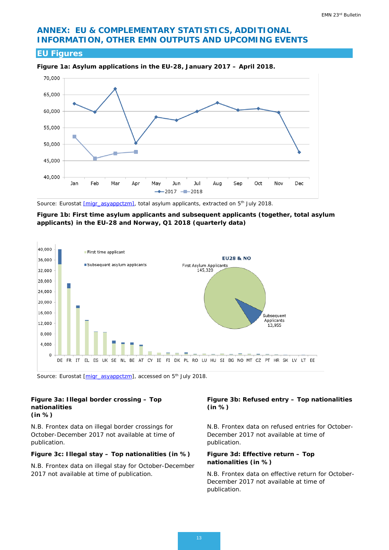# **ANNEX: EU & COMPLEMENTARY STATISTICS, ADDITIONAL INFORMATION, OTHER EMN OUTPUTS AND UPCOMING EVENTS**

### **EU Figures**



**Figure 1a: Asylum applications in the EU-28, January 2017 – April 2018.** 

*Source: Eurostat [\[migr\\_asyappctzm\],](http://appsso.eurostat.ec.europa.eu/nui/show.do?dataset=migr_asyappctzm&lang=en) total asylum applicants, extracted on 5th July 2018.*

**Figure 1b: First time asylum applicants and subsequent applicants (together, total asylum applicants) in the EU-28 and Norway, Q1 2018 (quarterly data)**



*Source: Eurostat [\[migr\\_asyappctzm\]](http://appsso.eurostat.ec.europa.eu/nui/show.do?dataset=migr_asyappctzm&lang=en), accessed on 5th July 2018.*

#### **Figure 3a: Illegal border crossing – Top nationalities (in %)**

*N.B. Frontex data on illegal border crossings for October-December 2017 not available at time of publication.*

#### **Figure 3c: Illegal stay – Top nationalities (in %)**

*N.B. Frontex data on illegal stay for October-December 2017 not available at time of publication*.

#### **Figure 3b: Refused entry – Top nationalities (in %)**

*N.B. Frontex data on refused entries for October-December 2017 not available at time of publication.*

#### **Figure 3d: Effective return – Top nationalities (in %)**

*N.B. Frontex data on effective return for October-December 2017 not available at time of publication.*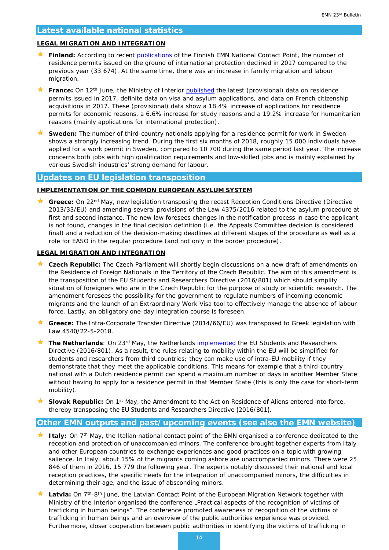#### **Latest available national statistics**

#### **LEGAL MIGRATION AND INTEGRATION**

- ★ Finland: According to recent [publications](file:///%5C%5Cicfi.icfconsulting.com%5Corg%5CEA%5CJobs%5CPIP%5CDG%20HOME%20EMN%20Service%20Provider%202018-2020%5CWS%20III%20Dissemination%20and%20coordination%20with%20other%20stakeholders%5CIII.18%20Visibility%20and%20dissemination%5CBulletin%5C23rd%5Cemn_the_total_number_of_residence_permits_issued_in_finland_decreased_in_2017.1448) of the Finnish EMN National Contact Point, the number of residence permits issued on the ground of international protection declined in 2017 compared to the previous year (33 674). At the same time, there was an increase in family migration and labour migration.
- **France:** On 12<sup>th</sup> June, the Ministry of Interior **published** the latest (provisional) data on residence permits issued in 2017, definite data on visa and asylum applications, and data on French citizenship acquisitions in 2017. These (provisional) data show a 18.4% increase of applications for residence permits for economic reasons, a 6.6% increase for study reasons and a 19.2% increase for humanitarian reasons (mainly applications for international protection).
- **Sweden:** The number of third-country nationals applying for a residence permit for work in Sweden shows a strongly increasing trend. During the first six months of 2018, roughly 15 000 individuals have applied for a work permit in Sweden, compared to 10 700 during the same period last year. The increase concerns both jobs with high qualification requirements and low-skilled jobs and is mainly explained by various Swedish industries' strong demand for labour.

### **Updates on EU legislation transposition**

#### **IMPLEMENTATION OF THE COMMON EUROPEAN ASYLUM SYSTEM**

★ Greece: On 22<sup>nd</sup> May, new legislation transposing the recast Reception Conditions Directive (Directive 2013/33/EU) and amending several provisions of the Law 4375/2016 related to the asylum procedure at first and second instance. The new law foresees changes in the notification process in case the applicant is not found, changes in the final decision definition (i.e. the Appeals Committee decision is considered final) and a reduction of the decision-making deadlines at different stages of the procedure as well as a role for EASO in the regular procedure (and not only in the border procedure).

#### **LEGAL MIGRATION AND INTEGRATION**

- **Czech Republic:** The Czech Parliament will shortly begin discussions on a new draft of amendments on the Residence of Foreign Nationals in the Territory of the Czech Republic. The aim of this amendment is the transposition of the EU Students and Researchers Directive (2016/801) which should simplify situation of foreigners who are in the Czech Republic for the purpose of study or scientific research. The amendment foresees the possibility for the government to regulate numbers of incoming economic migrants and the launch of an Extraordinary Work Visa tool to effectively manage the absence of labour force. Lastly, an obligatory one-day integration course is foreseen.
- **Greece:** The Intra-Corporate Transfer Directive (2014/66/EU) was transposed to Greek legislation with Law 4540/22-5-2018.
- **★ The Netherlands**: On 23<sup>rd</sup> May, the Netherlands [implemented](https://ind.nl/en/news/pages/new-directive-improves-mobility-within-the-eu-for-researchers-and-students-from--%E2%80%98third-countries%E2%80%99.aspx) the EU Students and Researchers Directive (2016/801). As a result, the rules relating to mobility within the EU will be simplified for students and researchers from third countries; they can make use of intra-EU mobility if they demonstrate that they meet the applicable conditions. This means for example that a third-country national with a Dutch residence permit can spend a maximum number of days in another Member State without having to apply for a residence permit in that Member State (this is only the case for short-term mobility).
- **Slovak Republic:** On 1st May, the Amendment to the Act on Residence of Aliens entered into force, thereby transposing the EU Students and Researchers Directive (2016/801).

#### **Other EMN outputs and past/upcoming events (see also the [EMN website\)](http://ec.europa.eu/dgs/home-affairs/what-we-do/networks/european_migration_network/events/index_en.htm)**

- **★ Italy:** On 7<sup>th</sup> May, the Italian national contact point of the EMN organised a conference dedicated to the reception and protection of unaccompanied minors. The conference brought together experts from Italy and other European countries to exchange experiences and good practices on a topic with growing salience. In Italy, about 15% of the migrants coming ashore are unaccompanied minors. There were 25 846 of them in 2016, 15 779 the following year. The experts notably discussed their national and local reception practices, the specific needs for the integration of unaccompanied minors, the difficulties in determining their age, and the issue of absconding minors.
- Latvia: On 7<sup>th</sup>-8<sup>th</sup> June, the Latvian Contact Point of the European Migration Network together with Ministry of the Interior organised the conference "Practical aspects of the recognition of victims of trafficking in human beings". The conference promoted awareness of recognition of the victims of trafficking in human beings and an overview of the public authorities experience was provided. Furthermore, closer cooperation between public authorities in identifying the victims of trafficking in